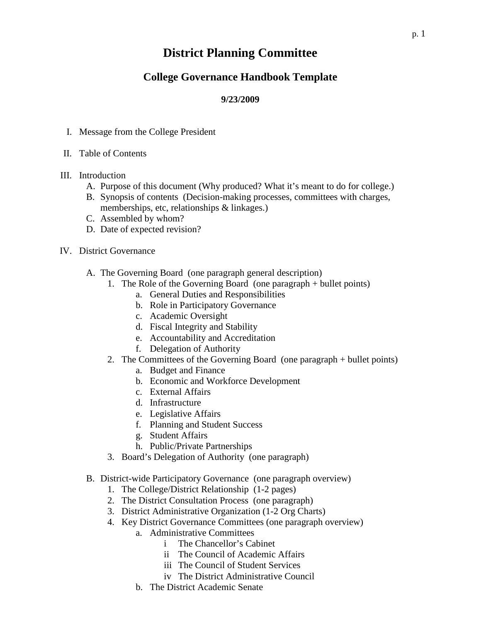## **District Planning Committee**

## **College Governance Handbook Template**

## **9/23/2009**

- I. Message from the College President
- II. Table of Contents
- III. Introduction
	- A. Purpose of this document (Why produced? What it's meant to do for college.)
	- B. Synopsis of contents (Decision-making processes, committees with charges, memberships, etc, relationships & linkages.)
	- C. Assembled by whom?
	- D. Date of expected revision?
- IV. District Governance
	- A. The Governing Board (one paragraph general description)
		- 1. The Role of the Governing Board (one paragraph + bullet points)
			- a. General Duties and Responsibilities
			- b. Role in Participatory Governance
			- c. Academic Oversight
			- d. Fiscal Integrity and Stability
			- e. Accountability and Accreditation
			- f. Delegation of Authority
		- 2. The Committees of the Governing Board (one paragraph + bullet points)
			- a. Budget and Finance
			- b. Economic and Workforce Development
			- c. External Affairs
			- d. Infrastructure
			- e. Legislative Affairs
			- f. Planning and Student Success
			- g. Student Affairs
			- h. Public/Private Partnerships
		- 3. Board's Delegation of Authority (one paragraph)
	- B. District-wide Participatory Governance (one paragraph overview)
		- 1. The College/District Relationship (1-2 pages)
		- 2. The District Consultation Process (one paragraph)
		- 3. District Administrative Organization (1-2 Org Charts)
		- 4. Key District Governance Committees (one paragraph overview)
			- a. Administrative Committees
				- i The Chancellor's Cabinet
				- ii The Council of Academic Affairs
				- iii The Council of Student Services
				- iv The District Administrative Council
				- b. The District Academic Senate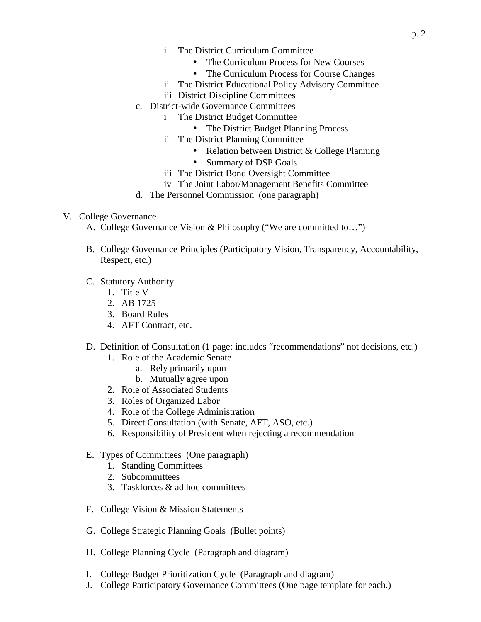- i The District Curriculum Committee
	- The Curriculum Process for New Courses
	- The Curriculum Process for Course Changes
- ii The District Educational Policy Advisory Committee
- iii District Discipline Committees
- c. District-wide Governance Committees
	- i The District Budget Committee
		- The District Budget Planning Process
	- ii The District Planning Committee
		- Relation between District & College Planning
		- Summary of DSP Goals
	- iii The District Bond Oversight Committee
	- iv The Joint Labor/Management Benefits Committee
- d. The Personnel Commission (one paragraph)

## V. College Governance

A. College Governance Vision & Philosophy ("We are committed to…")

- B. College Governance Principles (Participatory Vision, Transparency, Accountability, Respect, etc.)
- C. Statutory Authority
	- 1. Title V
	- 2. AB 1725
	- 3. Board Rules
	- 4. AFT Contract, etc.
- D. Definition of Consultation (1 page: includes "recommendations" not decisions, etc.)
	- 1. Role of the Academic Senate
		- a. Rely primarily upon
		- b. Mutually agree upon
	- 2. Role of Associated Students
	- 3. Roles of Organized Labor
	- 4. Role of the College Administration
	- 5. Direct Consultation (with Senate, AFT, ASO, etc.)
	- 6. Responsibility of President when rejecting a recommendation
- E. Types of Committees (One paragraph)
	- 1. Standing Committees
	- 2. Subcommittees
	- 3. Taskforces & ad hoc committees
- F. College Vision & Mission Statements
- G. College Strategic Planning Goals (Bullet points)
- H. College Planning Cycle (Paragraph and diagram)
- I. College Budget Prioritization Cycle (Paragraph and diagram)
- J. College Participatory Governance Committees (One page template for each.)